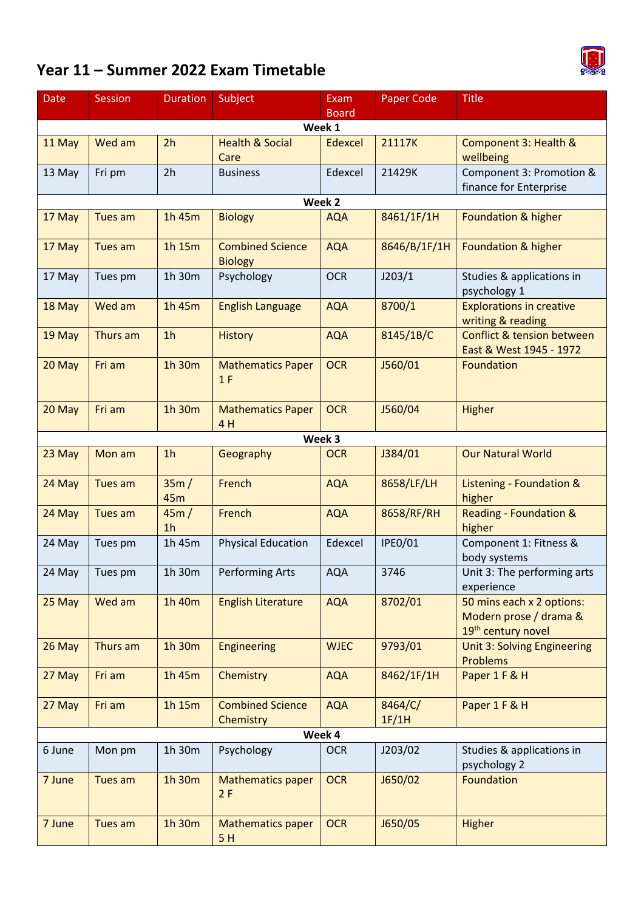## **Year 11 – Summer 2022 Exam Timetable**



| <b>Date</b>            | <b>Session</b> | <b>Duration</b>        | Subject                                   | Exam        | <b>Paper Code</b> | <b>Title</b>                                                              |  |  |  |  |  |
|------------------------|----------------|------------------------|-------------------------------------------|-------------|-------------------|---------------------------------------------------------------------------|--|--|--|--|--|
| <b>Board</b><br>Week 1 |                |                        |                                           |             |                   |                                                                           |  |  |  |  |  |
| 11 May                 | Wed am         | 2h                     | <b>Health &amp; Social</b>                | Edexcel     | 21117K            | Component 3: Health &                                                     |  |  |  |  |  |
|                        |                |                        | Care                                      |             |                   | wellbeing                                                                 |  |  |  |  |  |
| 13 May                 | Fri pm         | 2h                     | <b>Business</b>                           | Edexcel     | 21429K            | Component 3: Promotion &<br>finance for Enterprise                        |  |  |  |  |  |
| Week 2                 |                |                        |                                           |             |                   |                                                                           |  |  |  |  |  |
| 17 May                 | Tues am        | 1h 45m                 | <b>Biology</b>                            | <b>AQA</b>  | 8461/1F/1H        | Foundation & higher                                                       |  |  |  |  |  |
| 17 May                 | Tues am        | 1h 15m                 | <b>Combined Science</b><br><b>Biology</b> | <b>AQA</b>  | 8646/B/1F/1H      | Foundation & higher                                                       |  |  |  |  |  |
| 17 May                 | Tues pm        | 1h 30m                 | Psychology                                | <b>OCR</b>  | J203/1            | Studies & applications in<br>psychology 1                                 |  |  |  |  |  |
| 18 May                 | Wed am         | 1h 45m                 | <b>English Language</b>                   | <b>AQA</b>  | 8700/1            | <b>Explorations in creative</b><br>writing & reading                      |  |  |  |  |  |
| 19 May                 | Thurs am       | 1 <sub>h</sub>         | <b>History</b>                            | <b>AQA</b>  | 8145/1B/C         | <b>Conflict &amp; tension between</b><br>East & West 1945 - 1972          |  |  |  |  |  |
| 20 May                 | Fri am         | 1h 30m                 | <b>Mathematics Paper</b><br>1F            | <b>OCR</b>  | J560/01           | Foundation                                                                |  |  |  |  |  |
| 20 May                 | Fri am         | 1h 30m                 | <b>Mathematics Paper</b><br>4H            | <b>OCR</b>  | J560/04           | Higher                                                                    |  |  |  |  |  |
|                        |                |                        |                                           | Week 3      |                   |                                                                           |  |  |  |  |  |
| 23 May                 | Mon am         | 1 <sub>h</sub>         | Geography                                 | <b>OCR</b>  | J384/01           | <b>Our Natural World</b>                                                  |  |  |  |  |  |
| 24 May                 | Tues am        | 35m/<br>45m            | French                                    | <b>AQA</b>  | 8658/LF/LH        | Listening - Foundation &<br>higher                                        |  |  |  |  |  |
| 24 May                 | Tues am        | 45m/<br>1 <sub>h</sub> | French                                    | <b>AQA</b>  | 8658/RF/RH        | <b>Reading - Foundation &amp;</b><br>higher                               |  |  |  |  |  |
| 24 May                 | Tues pm        | 1h 45m                 | <b>Physical Education</b>                 | Edexcel     | <b>IPE0/01</b>    | Component 1: Fitness &<br>body systems                                    |  |  |  |  |  |
| 24 May                 | Tues pm        | 1h 30m                 | Performing Arts                           | <b>AQA</b>  | 3746              | Unit 3: The performing arts<br>experience                                 |  |  |  |  |  |
| 25 May                 | Wed am         | 1h 40m                 | <b>English Literature</b>                 | <b>AQA</b>  | 8702/01           | 50 mins each x 2 options:<br>Modern prose / drama &<br>19th century novel |  |  |  |  |  |
| 26 May                 | Thurs am       | 1h 30m                 | <b>Engineering</b>                        | <b>WJEC</b> | 9793/01           | Unit 3: Solving Engineering<br><b>Problems</b>                            |  |  |  |  |  |
| 27 May                 | Fri am         | 1h 45m                 | Chemistry                                 | <b>AQA</b>  | 8462/1F/1H        | Paper 1 F & H                                                             |  |  |  |  |  |
| 27 May                 | Fri am         | 1h 15m                 | <b>Combined Science</b><br>Chemistry      | <b>AQA</b>  | 8464/C/<br>1F/1H  | Paper 1 F & H                                                             |  |  |  |  |  |
| Week 4                 |                |                        |                                           |             |                   |                                                                           |  |  |  |  |  |
| 6 June                 | Mon pm         | 1h 30m                 | Psychology                                | <b>OCR</b>  | J203/02           | Studies & applications in<br>psychology 2                                 |  |  |  |  |  |
| 7 June                 | Tues am        | 1h 30m                 | <b>Mathematics paper</b><br>2F            | <b>OCR</b>  | J650/02           | Foundation                                                                |  |  |  |  |  |
| 7 June                 | Tues am        | 1h 30m                 | <b>Mathematics paper</b><br>5H            | <b>OCR</b>  | J650/05           | Higher                                                                    |  |  |  |  |  |